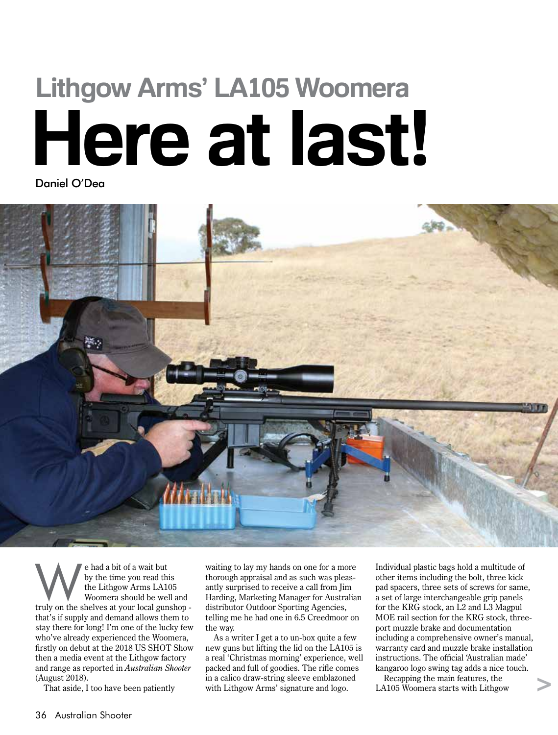# **Lithgow Arms' LA105 Woomera Here at last!**

Daniel O'Dea



e had a bit of a wait but<br>
by the time you read this<br>
the Lithgow Arms LA105<br>
Woomera should be well and<br>
truly on the shelves at your local gunshop by the time you read this the Lithgow Arms LA105 Woomera should be well and that's if supply and demand allows them to stay there for long! I'm one of the lucky few who've already experienced the Woomera, firstly on debut at the 2018 US SHOT Show then a media event at the Lithgow factory and range as reported in *Australian Shooter*  (August 2018).

That aside, I too have been patiently

waiting to lay my hands on one for a more thorough appraisal and as such was pleasantly surprised to receive a call from Jim Harding, Marketing Manager for Australian distributor Outdoor Sporting Agencies, telling me he had one in 6.5 Creedmoor on the way.

As a writer I get a to un-box quite a few new guns but lifting the lid on the LA105 is a real 'Christmas morning' experience, well packed and full of goodies. The rifle comes in a calico draw-string sleeve emblazoned with Lithgow Arms' signature and logo.

Individual plastic bags hold a multitude of other items including the bolt, three kick pad spacers, three sets of screws for same, a set of large interchangeable grip panels for the KRG stock, an L2 and L3 Magpul MOE rail section for the KRG stock, threeport muzzle brake and documentation including a comprehensive owner's manual, warranty card and muzzle brake installation instructions. The official 'Australian made' kangaroo logo swing tag adds a nice touch. >

Recapping the main features, the LA105 Woomera starts with Lithgow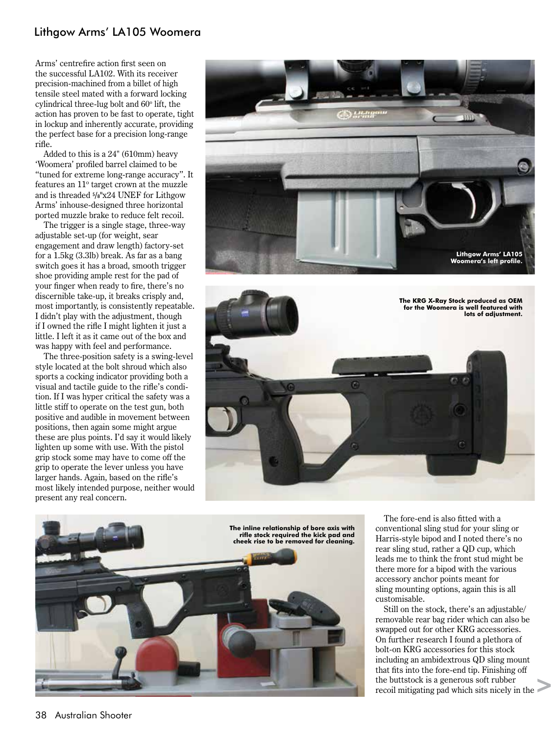### Lithgow Arms' LA105 Woomera

Arms' centrefire action first seen on the successful LA102. With its receiver precision-machined from a billet of high tensile steel mated with a forward locking cylindrical three-lug bolt and  $60^{\circ}$  lift, the action has proven to be fast to operate, tight in lockup and inherently accurate, providing the perfect base for a precision long-range rifle.

Added to this is a 24" (610mm) heavy 'Woomera' profiled barrel claimed to be "tuned for extreme long-range accuracy". It features an 11<sup>°</sup> target crown at the muzzle and is threaded 5/8"x24 UNEF for Lithgow Arms' inhouse-designed three horizontal ported muzzle brake to reduce felt recoil.

The trigger is a single stage, three-way adjustable set-up (for weight, sear engagement and draw length) factory-set for a 1.5kg (3.3lb) break. As far as a bang switch goes it has a broad, smooth trigger shoe providing ample rest for the pad of your finger when ready to fire, there's no discernible take-up, it breaks crisply and, most importantly, is consistently repeatable. I didn't play with the adjustment, though if I owned the rifle I might lighten it just a little. I left it as it came out of the box and was happy with feel and performance.

The three-position safety is a swing-level style located at the bolt shroud which also sports a cocking indicator providing both a visual and tactile guide to the rifle's condition. If I was hyper critical the safety was a little stiff to operate on the test gun, both positive and audible in movement between positions, then again some might argue these are plus points. I'd say it would likely lighten up some with use. With the pistol grip stock some may have to come off the grip to operate the lever unless you have larger hands. Again, based on the rifle's most likely intended purpose, neither would present any real concern.







The fore-end is also fitted with a conventional sling stud for your sling or Harris-style bipod and I noted there's no rear sling stud, rather a QD cup, which leads me to think the front stud might be there more for a bipod with the various accessory anchor points meant for sling mounting options, again this is all customisable.

Still on the stock, there's an adjustable/ removable rear bag rider which can also be swapped out for other KRG accessories. On further research I found a plethora of bolt-on KRG accessories for this stock including an ambidextrous QD sling mount that fits into the fore-end tip. Finishing off the buttstock is a generous soft rubber recoil mitigating pad which sits nicely in the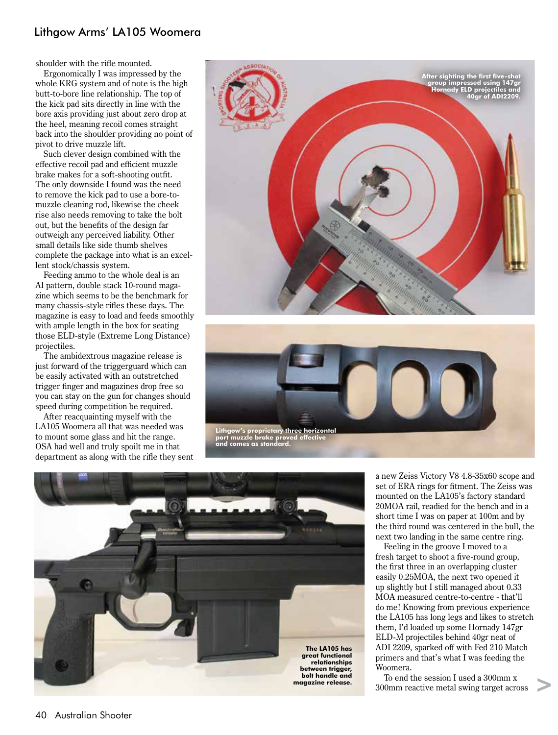### Lithgow Arms' LA105 Woomera

shoulder with the rifle mounted.

Ergonomically I was impressed by the whole KRG system and of note is the high butt-to-bore line relationship. The top of the kick pad sits directly in line with the bore axis providing just about zero drop at the heel, meaning recoil comes straight back into the shoulder providing no point of pivot to drive muzzle lift.

Such clever design combined with the effective recoil pad and efficient muzzle brake makes for a soft-shooting outfit. The only downside I found was the need to remove the kick pad to use a bore-tomuzzle cleaning rod, likewise the cheek rise also needs removing to take the bolt out, but the benefits of the design far outweigh any perceived liability. Other small details like side thumb shelves complete the package into what is an excellent stock/chassis system.

Feeding ammo to the whole deal is an AI pattern, double stack 10-round magazine which seems to be the benchmark for many chassis-style rifles these days. The magazine is easy to load and feeds smoothly with ample length in the box for seating those ELD-style (Extreme Long Distance) projectiles.

The ambidextrous magazine release is just forward of the triggerguard which can be easily activated with an outstretched trigger finger and magazines drop free so you can stay on the gun for changes should speed during competition be required.

After reacquainting myself with the LA105 Woomera all that was needed was to mount some glass and hit the range. OSA had well and truly spoilt me in that department as along with the rifle they sent



**Lithgow's proprietary three horizontal port muzzle brake proved effective and comes as standard.**



a new Zeiss Victory V8 4.8-35x60 scope and set of ERA rings for fitment. The Zeiss was mounted on the LA105's factory standard 20MOA rail, readied for the bench and in a short time I was on paper at 100m and by the third round was centered in the bull, the next two landing in the same centre ring.

Feeling in the groove I moved to a fresh target to shoot a five-round group, the first three in an overlapping cluster easily 0.25MOA, the next two opened it up slightly but I still managed about 0.33 MOA measured centre-to-centre - that'll do me! Knowing from previous experience the LA105 has long legs and likes to stretch them, I'd loaded up some Hornady 147gr ELD-M projectiles behind 40gr neat of ADI 2209, sparked off with Fed 210 Match primers and that's what I was feeding the Woomera.

To end the session I used a 300mm x 300mm reactive metal swing target across >